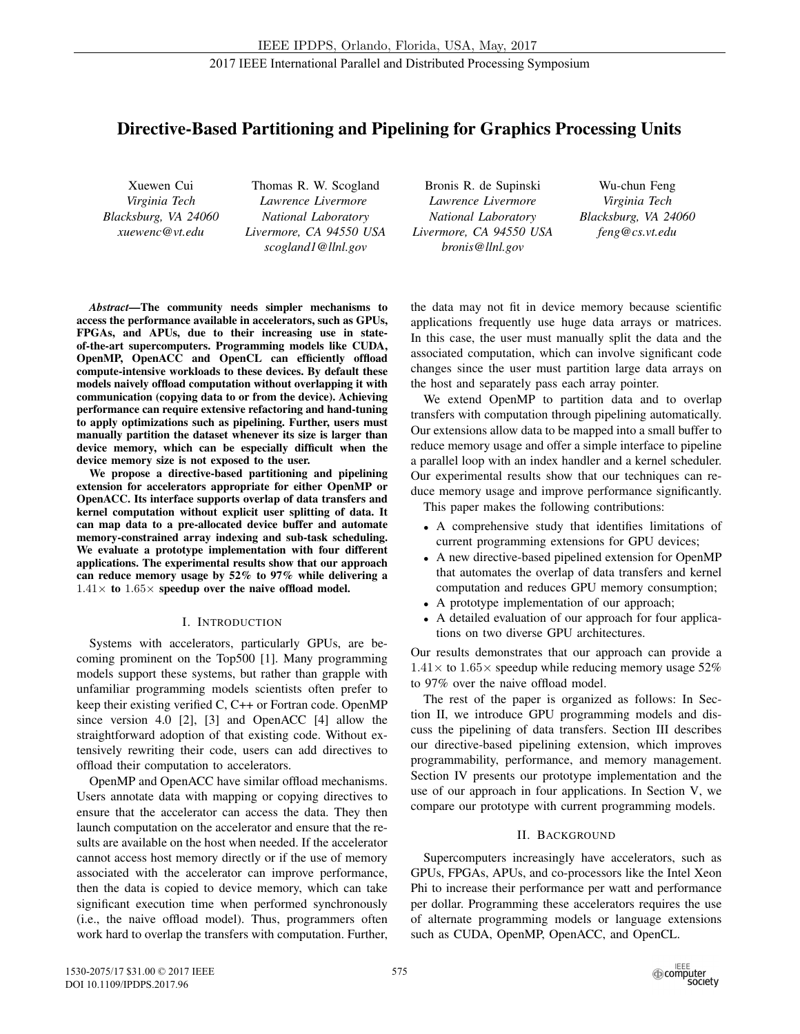# Directive-Based Partitioning and Pipelining for Graphics Processing Units

Xuewen Cui *Virginia Tech Blacksburg, VA 24060 xuewenc@vt.edu*

Thomas R. W. Scogland *Lawrence Livermore National Laboratory Livermore, CA 94550 USA scogland1@llnl.gov*

Bronis R. de Supinski *Lawrence Livermore National Laboratory Livermore, CA 94550 USA bronis@llnl.gov*

Wu-chun Feng *Virginia Tech Blacksburg, VA 24060 feng@cs.vt.edu*

*Abstract*—The community needs simpler mechanisms to access the performance available in accelerators, such as GPUs, FPGAs, and APUs, due to their increasing use in stateof-the-art supercomputers. Programming models like CUDA, OpenMP, OpenACC and OpenCL can efficiently offload compute-intensive workloads to these devices. By default these models naively offload computation without overlapping it with communication (copying data to or from the device). Achieving performance can require extensive refactoring and hand-tuning to apply optimizations such as pipelining. Further, users must manually partition the dataset whenever its size is larger than device memory, which can be especially difficult when the device memory size is not exposed to the user.

We propose a directive-based partitioning and pipelining extension for accelerators appropriate for either OpenMP or OpenACC. Its interface supports overlap of data transfers and kernel computation without explicit user splitting of data. It can map data to a pre-allocated device buffer and automate memory-constrained array indexing and sub-task scheduling. We evaluate a prototype implementation with four different applications. The experimental results show that our approach can reduce memory usage by 52% to 97% while delivering a  $1.41\times$  to  $1.65\times$  speedup over the naive offload model.

### I. INTRODUCTION

Systems with accelerators, particularly GPUs, are becoming prominent on the Top500 [1]. Many programming models support these systems, but rather than grapple with unfamiliar programming models scientists often prefer to keep their existing verified C, C++ or Fortran code. OpenMP since version 4.0 [2], [3] and OpenACC [4] allow the straightforward adoption of that existing code. Without extensively rewriting their code, users can add directives to offload their computation to accelerators.

OpenMP and OpenACC have similar offload mechanisms. Users annotate data with mapping or copying directives to ensure that the accelerator can access the data. They then launch computation on the accelerator and ensure that the results are available on the host when needed. If the accelerator cannot access host memory directly or if the use of memory associated with the accelerator can improve performance, then the data is copied to device memory, which can take significant execution time when performed synchronously (i.e., the naive offload model). Thus, programmers often work hard to overlap the transfers with computation. Further, the data may not fit in device memory because scientific applications frequently use huge data arrays or matrices. In this case, the user must manually split the data and the associated computation, which can involve significant code changes since the user must partition large data arrays on the host and separately pass each array pointer.

We extend OpenMP to partition data and to overlap transfers with computation through pipelining automatically. Our extensions allow data to be mapped into a small buffer to reduce memory usage and offer a simple interface to pipeline a parallel loop with an index handler and a kernel scheduler. Our experimental results show that our techniques can reduce memory usage and improve performance significantly.

This paper makes the following contributions:

- A comprehensive study that identifies limitations of current programming extensions for GPU devices;
- A new directive-based pipelined extension for OpenMP that automates the overlap of data transfers and kernel computation and reduces GPU memory consumption;
- A prototype implementation of our approach;
- A detailed evaluation of our approach for four applications on two diverse GPU architectures.

Our results demonstrates that our approach can provide a  $1.41\times$  to  $1.65\times$  speedup while reducing memory usage 52% to 97% over the naive offload model.

The rest of the paper is organized as follows: In Section II, we introduce GPU programming models and discuss the pipelining of data transfers. Section III describes our directive-based pipelining extension, which improves programmability, performance, and memory management. Section IV presents our prototype implementation and the use of our approach in four applications. In Section V, we compare our prototype with current programming models.

## II. BACKGROUND

Supercomputers increasingly have accelerators, such as GPUs, FPGAs, APUs, and co-processors like the Intel Xeon Phi to increase their performance per watt and performance per dollar. Programming these accelerators requires the use of alternate programming models or language extensions such as CUDA, OpenMP, OpenACC, and OpenCL.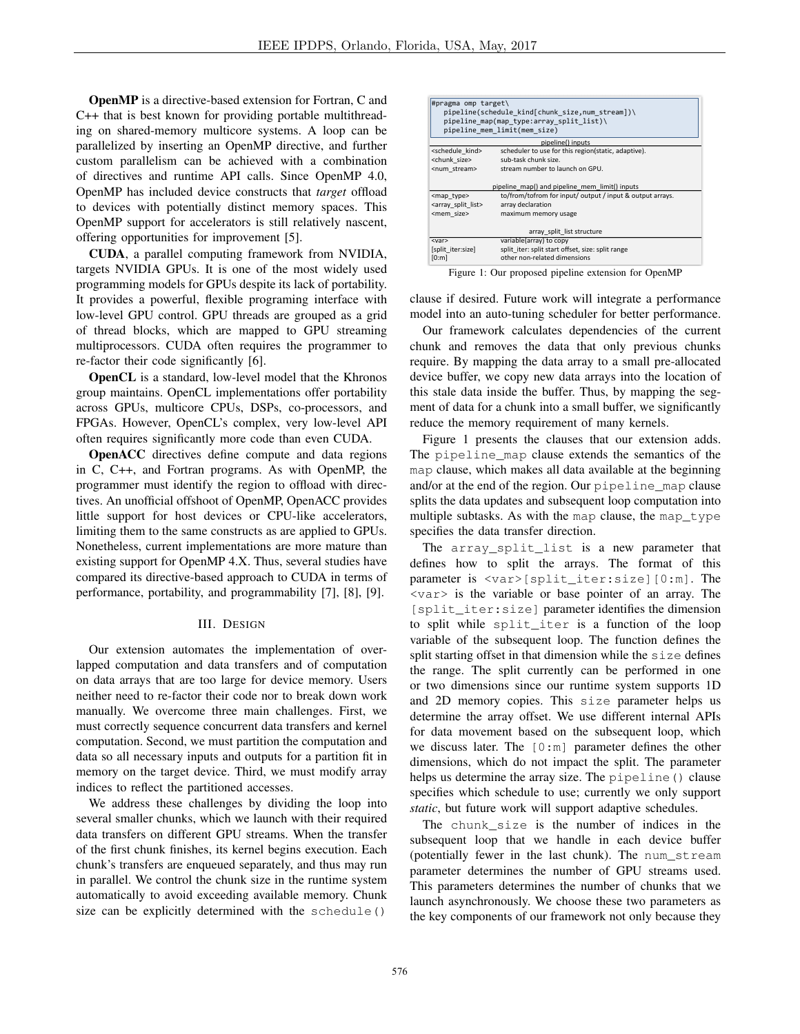OpenMP is a directive-based extension for Fortran, C and C++ that is best known for providing portable multithreading on shared-memory multicore systems. A loop can be parallelized by inserting an OpenMP directive, and further custom parallelism can be achieved with a combination of directives and runtime API calls. Since OpenMP 4.0, OpenMP has included device constructs that *target* offload to devices with potentially distinct memory spaces. This OpenMP support for accelerators is still relatively nascent, offering opportunities for improvement [5].

CUDA, a parallel computing framework from NVIDIA, targets NVIDIA GPUs. It is one of the most widely used programming models for GPUs despite its lack of portability. It provides a powerful, flexible programing interface with low-level GPU control. GPU threads are grouped as a grid of thread blocks, which are mapped to GPU streaming multiprocessors. CUDA often requires the programmer to re-factor their code significantly [6].

OpenCL is a standard, low-level model that the Khronos group maintains. OpenCL implementations offer portability across GPUs, multicore CPUs, DSPs, co-processors, and FPGAs. However, OpenCL's complex, very low-level API often requires significantly more code than even CUDA.

OpenACC directives define compute and data regions in C, C++, and Fortran programs. As with OpenMP, the programmer must identify the region to offload with directives. An unofficial offshoot of OpenMP, OpenACC provides little support for host devices or CPU-like accelerators, limiting them to the same constructs as are applied to GPUs. Nonetheless, current implementations are more mature than existing support for OpenMP 4.X. Thus, several studies have compared its directive-based approach to CUDA in terms of performance, portability, and programmability [7], [8], [9].

### III. DESIGN

Our extension automates the implementation of overlapped computation and data transfers and of computation on data arrays that are too large for device memory. Users neither need to re-factor their code nor to break down work manually. We overcome three main challenges. First, we must correctly sequence concurrent data transfers and kernel computation. Second, we must partition the computation and data so all necessary inputs and outputs for a partition fit in memory on the target device. Third, we must modify array indices to reflect the partitioned accesses.

We address these challenges by dividing the loop into several smaller chunks, which we launch with their required data transfers on different GPU streams. When the transfer of the first chunk finishes, its kernel begins execution. Each chunk's transfers are enqueued separately, and thus may run in parallel. We control the chunk size in the runtime system automatically to avoid exceeding available memory. Chunk size can be explicitly determined with the schedule()

| #pragma omp target\<br>pipeline(schedule kind[chunk size, num stream])\<br>pipeline map(map type:array split list)\<br>pipeline mem limit(mem size) |                                                           |
|-----------------------------------------------------------------------------------------------------------------------------------------------------|-----------------------------------------------------------|
|                                                                                                                                                     | pipeline() inputs                                         |
| <schedule kind=""></schedule>                                                                                                                       | scheduler to use for this region(static, adaptive).       |
| <chunk size=""></chunk>                                                                                                                             | sub-task chunk size.                                      |
| <num stream=""></num>                                                                                                                               | stream number to launch on GPU.                           |
|                                                                                                                                                     |                                                           |
|                                                                                                                                                     | pipeline map() and pipeline mem limit() inputs            |
| <map type=""></map>                                                                                                                                 | to/from/tofrom for input/ output / input & output arrays. |
| <array list="" split=""></array>                                                                                                                    | array declaration                                         |
| <mem size=""></mem>                                                                                                                                 | maximum memory usage                                      |
|                                                                                                                                                     |                                                           |
|                                                                                                                                                     | array split list structure                                |
| $<$ var $>$                                                                                                                                         | variable(array) to copy                                   |
| [split iter:size]                                                                                                                                   | split iter: split start offset, size: split range         |
| [0:m]                                                                                                                                               | other non-related dimensions                              |

Figure 1: Our proposed pipeline extension for OpenMP

clause if desired. Future work will integrate a performance model into an auto-tuning scheduler for better performance.

Our framework calculates dependencies of the current chunk and removes the data that only previous chunks require. By mapping the data array to a small pre-allocated device buffer, we copy new data arrays into the location of this stale data inside the buffer. Thus, by mapping the segment of data for a chunk into a small buffer, we significantly reduce the memory requirement of many kernels.

Figure 1 presents the clauses that our extension adds. The pipeline\_map clause extends the semantics of the map clause, which makes all data available at the beginning and/or at the end of the region. Our pipeline map clause splits the data updates and subsequent loop computation into multiple subtasks. As with the map clause, the map\_type specifies the data transfer direction.

The array split list is a new parameter that defines how to split the arrays. The format of this parameter is <var>[split\_iter:size][0:m]. The <var> is the variable or base pointer of an array. The [split\_iter:size] parameter identifies the dimension to split while split\_iter is a function of the loop variable of the subsequent loop. The function defines the split starting offset in that dimension while the size defines the range. The split currently can be performed in one or two dimensions since our runtime system supports 1D and 2D memory copies. This size parameter helps us determine the array offset. We use different internal APIs for data movement based on the subsequent loop, which we discuss later. The [0:m] parameter defines the other dimensions, which do not impact the split. The parameter helps us determine the array size. The pipeline () clause specifies which schedule to use; currently we only support *static*, but future work will support adaptive schedules.

The chunk\_size is the number of indices in the subsequent loop that we handle in each device buffer (potentially fewer in the last chunk). The num\_stream parameter determines the number of GPU streams used. This parameters determines the number of chunks that we launch asynchronously. We choose these two parameters as the key components of our framework not only because they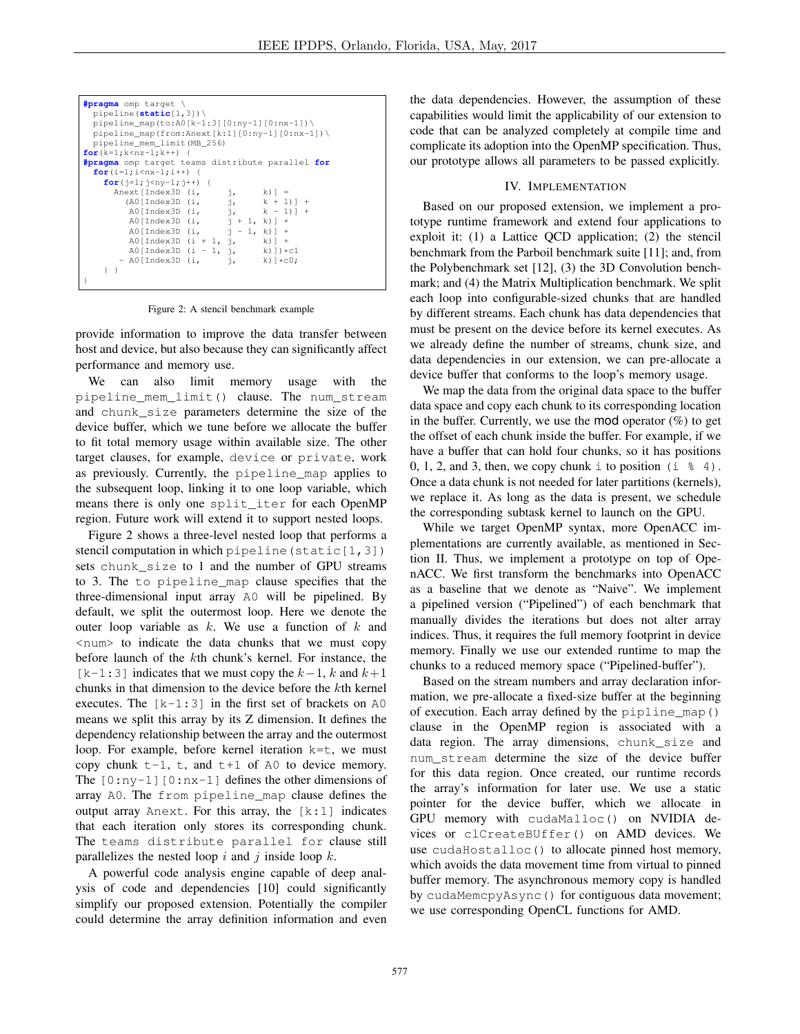```
#pragma omp target \
pipeline(static[1,3])\
   pipeline_map(to:A0[k-1:3][0:ny-1][0:nx-1])\
   pipeline_map(from:Anext[k:1][0:ny-1][0:nx-1])\
   pipeline_mem_limit(MB_256)
for(k=1;k<nz-1;k++) {
#pragma omp target teams distribute parallel for
   for(i=1;i<nx-1;i++) {
       for(j=1; j < ny-1; j++)Anext [Index3D (i, j, k)] =<br>(A0 [Index3D (i, j, k + 1)] +<br>A0 [Index3D (i, j, k - 1)] +
                (AO[Index3D (i, j,A0[Index3D (i, j,
                 A0[Index3D (i, j + 1, k)] + A0[Index3D (i, j - 1, k)] + A0[Index3D (i, j - 1, k)] + A0[Index3D (i, j - 1, k)] + A0[Index3D (i, j - 1, k)] + A0[Index3D (i, j - 1, k)] + A0[Index3D (i, k)] + A0[Index3D (i, k)] + A1[Index3D (i, k)] + A2[Index3D (i, k)] + A2[Index3D (i, k)] + A3[Index3D (i, k)] + A4[Index3D (i, k)] + A5[Index3D (i, k)] + A6[Index3D (i, k)] + A7[Index3D (i, kA0[Index3D (i,
                 A0[Index3D (i + 1, j, k)] +A0[Index3D (i - 1, j, k)]) *c1<br>A0[Index3D (i, j, k)] *c0;
                 A0[Index3D (i,
       } }
}
```
Figure 2: A stencil benchmark example

provide information to improve the data transfer between host and device, but also because they can significantly affect performance and memory use.

We can also limit memory usage with the pipeline mem\_limit() clause. The num\_stream and chunk\_size parameters determine the size of the device buffer, which we tune before we allocate the buffer to fit total memory usage within available size. The other target clauses, for example, device or private, work as previously. Currently, the pipeline\_map applies to the subsequent loop, linking it to one loop variable, which means there is only one split\_iter for each OpenMP region. Future work will extend it to support nested loops.

Figure 2 shows a three-level nested loop that performs a stencil computation in which pipeline (static $[1,3]$ ) sets chunk\_size to 1 and the number of GPU streams to 3. The to pipeline\_map clause specifies that the three-dimensional input array A0 will be pipelined. By default, we split the outermost loop. Here we denote the outer loop variable as  $k$ . We use a function of  $k$  and  $\langle$ num $\rangle$  to indicate the data chunks that we must copy before launch of the kth chunk's kernel. For instance, the [k-1:3] indicates that we must copy the  $k-1$ , k and  $k+1$ chunks in that dimension to the device before the kth kernel executes. The  $[k-1:3]$  in the first set of brackets on A0 means we split this array by its Z dimension. It defines the dependency relationship between the array and the outermost loop. For example, before kernel iteration k=t, we must copy chunk  $t-1$ ,  $t$ , and  $t+1$  of A0 to device memory. The  $[0:ny-1][0:nx-1]$  defines the other dimensions of array A0. The from pipeline\_map clause defines the output array Anext. For this array, the  $[k:1]$  indicates that each iteration only stores its corresponding chunk. The teams distribute parallel for clause still parallelizes the nested loop i and j inside loop  $k$ .

A powerful code analysis engine capable of deep analysis of code and dependencies [10] could significantly simplify our proposed extension. Potentially the compiler could determine the array definition information and even

the data dependencies. However, the assumption of these capabilities would limit the applicability of our extension to code that can be analyzed completely at compile time and complicate its adoption into the OpenMP specification. Thus, our prototype allows all parameters to be passed explicitly.

### IV. IMPLEMENTATION

Based on our proposed extension, we implement a prototype runtime framework and extend four applications to exploit it: (1) a Lattice QCD application; (2) the stencil benchmark from the Parboil benchmark suite [11]; and, from the Polybenchmark set [12], (3) the 3D Convolution benchmark; and (4) the Matrix Multiplication benchmark. We split each loop into configurable-sized chunks that are handled by different streams. Each chunk has data dependencies that must be present on the device before its kernel executes. As we already define the number of streams, chunk size, and data dependencies in our extension, we can pre-allocate a device buffer that conforms to the loop's memory usage.

We map the data from the original data space to the buffer data space and copy each chunk to its corresponding location in the buffer. Currently, we use the **mod** operator  $(\%)$  to get the offset of each chunk inside the buffer. For example, if we have a buffer that can hold four chunks, so it has positions 0, 1, 2, and 3, then, we copy chunk i to position  $(i \text{ } 8 \text{ } 4)$ . Once a data chunk is not needed for later partitions (kernels), we replace it. As long as the data is present, we schedule the corresponding subtask kernel to launch on the GPU.

While we target OpenMP syntax, more OpenACC implementations are currently available, as mentioned in Section II. Thus, we implement a prototype on top of OpenACC. We first transform the benchmarks into OpenACC as a baseline that we denote as "Naive". We implement a pipelined version ("Pipelined") of each benchmark that manually divides the iterations but does not alter array indices. Thus, it requires the full memory footprint in device memory. Finally we use our extended runtime to map the chunks to a reduced memory space ("Pipelined-buffer").

Based on the stream numbers and array declaration information, we pre-allocate a fixed-size buffer at the beginning of execution. Each array defined by the pipline\_map() clause in the OpenMP region is associated with a data region. The array dimensions, chunk\_size and num\_stream determine the size of the device buffer for this data region. Once created, our runtime records the array's information for later use. We use a static pointer for the device buffer, which we allocate in GPU memory with cudaMalloc() on NVIDIA devices or clCreateBUffer() on AMD devices. We use cudaHostalloc() to allocate pinned host memory, which avoids the data movement time from virtual to pinned buffer memory. The asynchronous memory copy is handled by cudaMemcpyAsync() for contiguous data movement; we use corresponding OpenCL functions for AMD.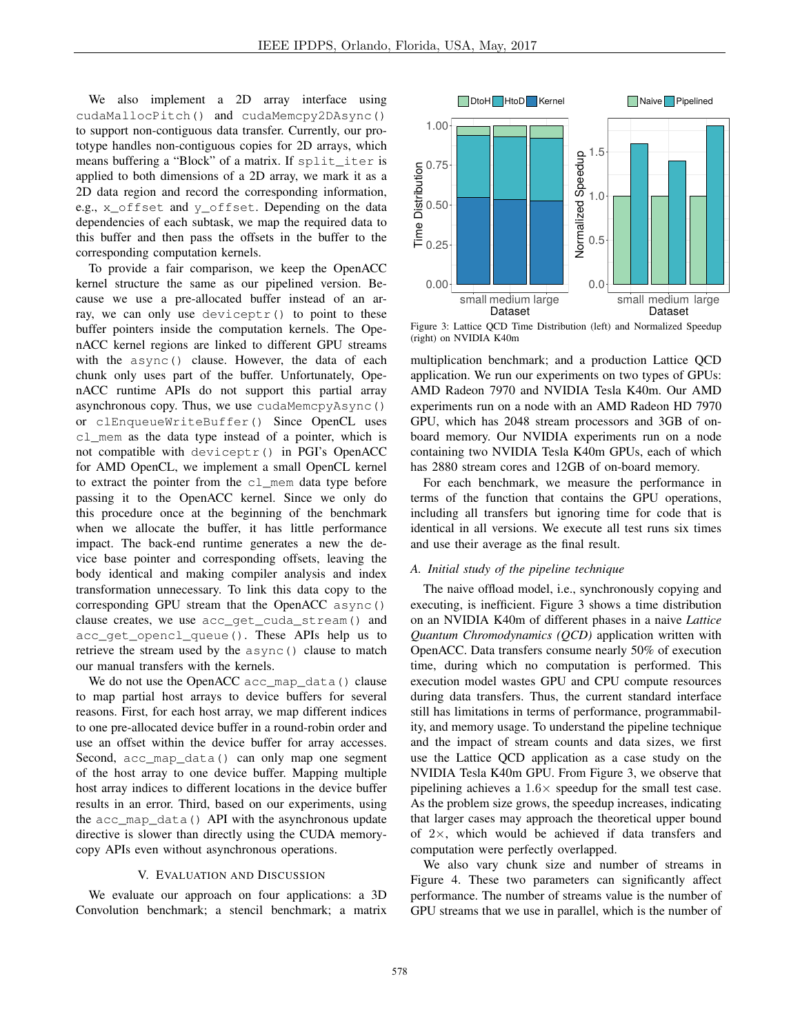We also implement a 2D array interface using cudaMallocPitch() and cudaMemcpy2DAsync() to support non-contiguous data transfer. Currently, our prototype handles non-contiguous copies for 2D arrays, which means buffering a "Block" of a matrix. If split\_iter is applied to both dimensions of a 2D array, we mark it as a 2D data region and record the corresponding information, e.g., x\_offset and y\_offset. Depending on the data dependencies of each subtask, we map the required data to this buffer and then pass the offsets in the buffer to the corresponding computation kernels.

To provide a fair comparison, we keep the OpenACC kernel structure the same as our pipelined version. Because we use a pre-allocated buffer instead of an array, we can only use deviceptr() to point to these buffer pointers inside the computation kernels. The OpenACC kernel regions are linked to different GPU streams with the async() clause. However, the data of each chunk only uses part of the buffer. Unfortunately, OpenACC runtime APIs do not support this partial array asynchronous copy. Thus, we use cudaMemcpyAsync() or clEnqueueWriteBuffer() Since OpenCL uses cl\_mem as the data type instead of a pointer, which is not compatible with deviceptr() in PGI's OpenACC for AMD OpenCL, we implement a small OpenCL kernel to extract the pointer from the cl\_mem data type before passing it to the OpenACC kernel. Since we only do this procedure once at the beginning of the benchmark when we allocate the buffer, it has little performance impact. The back-end runtime generates a new the device base pointer and corresponding offsets, leaving the body identical and making compiler analysis and index transformation unnecessary. To link this data copy to the corresponding GPU stream that the OpenACC async() clause creates, we use acc\_get\_cuda\_stream() and acc\_get\_opencl\_queue(). These APIs help us to retrieve the stream used by the async() clause to match our manual transfers with the kernels.

We do not use the OpenACC acc\_map\_data() clause to map partial host arrays to device buffers for several reasons. First, for each host array, we map different indices to one pre-allocated device buffer in a round-robin order and use an offset within the device buffer for array accesses. Second, acc\_map\_data() can only map one segment of the host array to one device buffer. Mapping multiple host array indices to different locations in the device buffer results in an error. Third, based on our experiments, using the acc\_map\_data() API with the asynchronous update directive is slower than directly using the CUDA memorycopy APIs even without asynchronous operations.

### V. EVALUATION AND DISCUSSION

We evaluate our approach on four applications: a 3D Convolution benchmark; a stencil benchmark; a matrix



Figure 3: Lattice QCD Time Distribution (left) and Normalized Speedup (right) on NVIDIA K40m

multiplication benchmark; and a production Lattice QCD application. We run our experiments on two types of GPUs: AMD Radeon 7970 and NVIDIA Tesla K40m. Our AMD experiments run on a node with an AMD Radeon HD 7970 GPU, which has 2048 stream processors and 3GB of onboard memory. Our NVIDIA experiments run on a node containing two NVIDIA Tesla K40m GPUs, each of which has 2880 stream cores and 12GB of on-board memory.

For each benchmark, we measure the performance in terms of the function that contains the GPU operations, including all transfers but ignoring time for code that is identical in all versions. We execute all test runs six times and use their average as the final result.

### *A. Initial study of the pipeline technique*

The naive offload model, i.e., synchronously copying and executing, is inefficient. Figure 3 shows a time distribution on an NVIDIA K40m of different phases in a naive *Lattice Quantum Chromodynamics (QCD)* application written with OpenACC. Data transfers consume nearly 50% of execution time, during which no computation is performed. This execution model wastes GPU and CPU compute resources during data transfers. Thus, the current standard interface still has limitations in terms of performance, programmability, and memory usage. To understand the pipeline technique and the impact of stream counts and data sizes, we first use the Lattice QCD application as a case study on the NVIDIA Tesla K40m GPU. From Figure 3, we observe that pipelining achieves a  $1.6 \times$  speedup for the small test case. As the problem size grows, the speedup increases, indicating that larger cases may approach the theoretical upper bound of  $2\times$ , which would be achieved if data transfers and computation were perfectly overlapped.

We also vary chunk size and number of streams in Figure 4. These two parameters can significantly affect performance. The number of streams value is the number of GPU streams that we use in parallel, which is the number of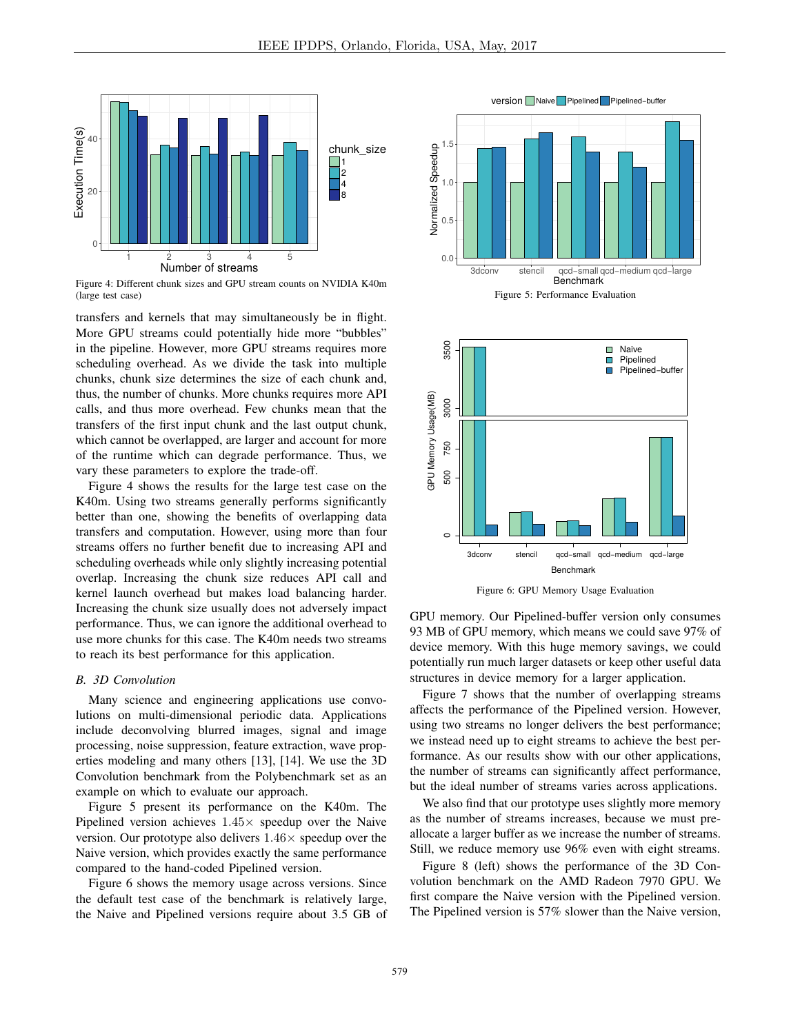

Figure 4: Different chunk sizes and GPU stream counts on NVIDIA K40m (large test case)

transfers and kernels that may simultaneously be in flight. More GPU streams could potentially hide more "bubbles" in the pipeline. However, more GPU streams requires more scheduling overhead. As we divide the task into multiple chunks, chunk size determines the size of each chunk and, thus, the number of chunks. More chunks requires more API calls, and thus more overhead. Few chunks mean that the transfers of the first input chunk and the last output chunk, which cannot be overlapped, are larger and account for more of the runtime which can degrade performance. Thus, we vary these parameters to explore the trade-off.

Figure 4 shows the results for the large test case on the K40m. Using two streams generally performs significantly better than one, showing the benefits of overlapping data transfers and computation. However, using more than four streams offers no further benefit due to increasing API and scheduling overheads while only slightly increasing potential overlap. Increasing the chunk size reduces API call and kernel launch overhead but makes load balancing harder. Increasing the chunk size usually does not adversely impact performance. Thus, we can ignore the additional overhead to use more chunks for this case. The K40m needs two streams to reach its best performance for this application.

### *B. 3D Convolution*

Many science and engineering applications use convolutions on multi-dimensional periodic data. Applications include deconvolving blurred images, signal and image processing, noise suppression, feature extraction, wave properties modeling and many others [13], [14]. We use the 3D Convolution benchmark from the Polybenchmark set as an example on which to evaluate our approach.

Figure 5 present its performance on the K40m. The Pipelined version achieves  $1.45\times$  speedup over the Naive version. Our prototype also delivers  $1.46\times$  speedup over the Naive version, which provides exactly the same performance compared to the hand-coded Pipelined version.

Figure 6 shows the memory usage across versions. Since the default test case of the benchmark is relatively large, the Naive and Pipelined versions require about 3.5 GB of





Figure 6: GPU Memory Usage Evaluation

GPU memory. Our Pipelined-buffer version only consumes 93 MB of GPU memory, which means we could save 97% of device memory. With this huge memory savings, we could potentially run much larger datasets or keep other useful data structures in device memory for a larger application.

Figure 7 shows that the number of overlapping streams affects the performance of the Pipelined version. However, using two streams no longer delivers the best performance; we instead need up to eight streams to achieve the best performance. As our results show with our other applications, the number of streams can significantly affect performance, but the ideal number of streams varies across applications.

We also find that our prototype uses slightly more memory as the number of streams increases, because we must preallocate a larger buffer as we increase the number of streams. Still, we reduce memory use 96% even with eight streams.

Figure 8 (left) shows the performance of the 3D Convolution benchmark on the AMD Radeon 7970 GPU. We first compare the Naive version with the Pipelined version. The Pipelined version is 57% slower than the Naive version,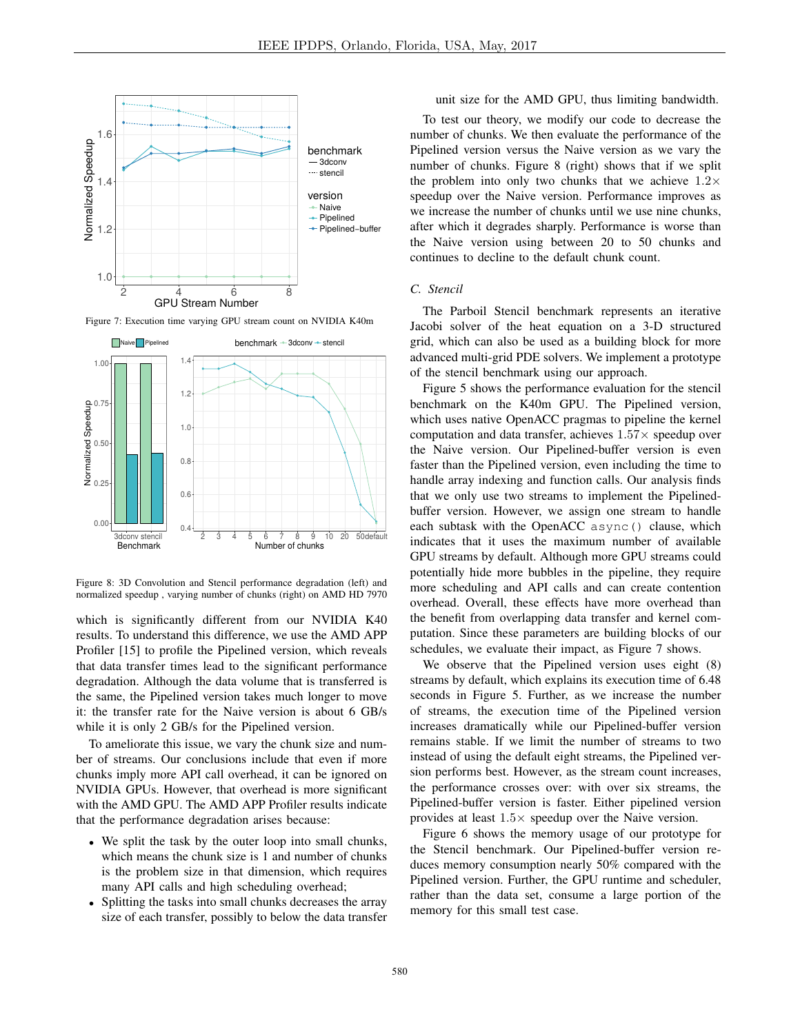

Figure 7: Execution time varying GPU stream count on NVIDIA K40m



Figure 8: 3D Convolution and Stencil performance degradation (left) and normalized speedup , varying number of chunks (right) on AMD HD 7970

which is significantly different from our NVIDIA K40 results. To understand this difference, we use the AMD APP Profiler [15] to profile the Pipelined version, which reveals that data transfer times lead to the significant performance degradation. Although the data volume that is transferred is the same, the Pipelined version takes much longer to move it: the transfer rate for the Naive version is about 6 GB/s while it is only 2 GB/s for the Pipelined version.

To ameliorate this issue, we vary the chunk size and number of streams. Our conclusions include that even if more chunks imply more API call overhead, it can be ignored on NVIDIA GPUs. However, that overhead is more significant with the AMD GPU. The AMD APP Profiler results indicate that the performance degradation arises because:

- We split the task by the outer loop into small chunks, which means the chunk size is 1 and number of chunks is the problem size in that dimension, which requires many API calls and high scheduling overhead;
- Splitting the tasks into small chunks decreases the array size of each transfer, possibly to below the data transfer

### unit size for the AMD GPU, thus limiting bandwidth.

To test our theory, we modify our code to decrease the number of chunks. We then evaluate the performance of the Pipelined version versus the Naive version as we vary the number of chunks. Figure 8 (right) shows that if we split the problem into only two chunks that we achieve  $1.2\times$ speedup over the Naive version. Performance improves as we increase the number of chunks until we use nine chunks, after which it degrades sharply. Performance is worse than the Naive version using between 20 to 50 chunks and continues to decline to the default chunk count.

### *C. Stencil*

The Parboil Stencil benchmark represents an iterative Jacobi solver of the heat equation on a 3-D structured grid, which can also be used as a building block for more advanced multi-grid PDE solvers. We implement a prototype of the stencil benchmark using our approach.

Figure 5 shows the performance evaluation for the stencil benchmark on the K40m GPU. The Pipelined version, which uses native OpenACC pragmas to pipeline the kernel computation and data transfer, achieves  $1.57\times$  speedup over the Naive version. Our Pipelined-buffer version is even faster than the Pipelined version, even including the time to handle array indexing and function calls. Our analysis finds that we only use two streams to implement the Pipelinedbuffer version. However, we assign one stream to handle each subtask with the OpenACC async() clause, which indicates that it uses the maximum number of available GPU streams by default. Although more GPU streams could potentially hide more bubbles in the pipeline, they require more scheduling and API calls and can create contention overhead. Overall, these effects have more overhead than the benefit from overlapping data transfer and kernel computation. Since these parameters are building blocks of our schedules, we evaluate their impact, as Figure 7 shows.

We observe that the Pipelined version uses eight (8) streams by default, which explains its execution time of 6.48 seconds in Figure 5. Further, as we increase the number of streams, the execution time of the Pipelined version increases dramatically while our Pipelined-buffer version remains stable. If we limit the number of streams to two instead of using the default eight streams, the Pipelined version performs best. However, as the stream count increases, the performance crosses over: with over six streams, the Pipelined-buffer version is faster. Either pipelined version provides at least  $1.5 \times$  speedup over the Naive version.

Figure 6 shows the memory usage of our prototype for the Stencil benchmark. Our Pipelined-buffer version reduces memory consumption nearly 50% compared with the Pipelined version. Further, the GPU runtime and scheduler, rather than the data set, consume a large portion of the memory for this small test case.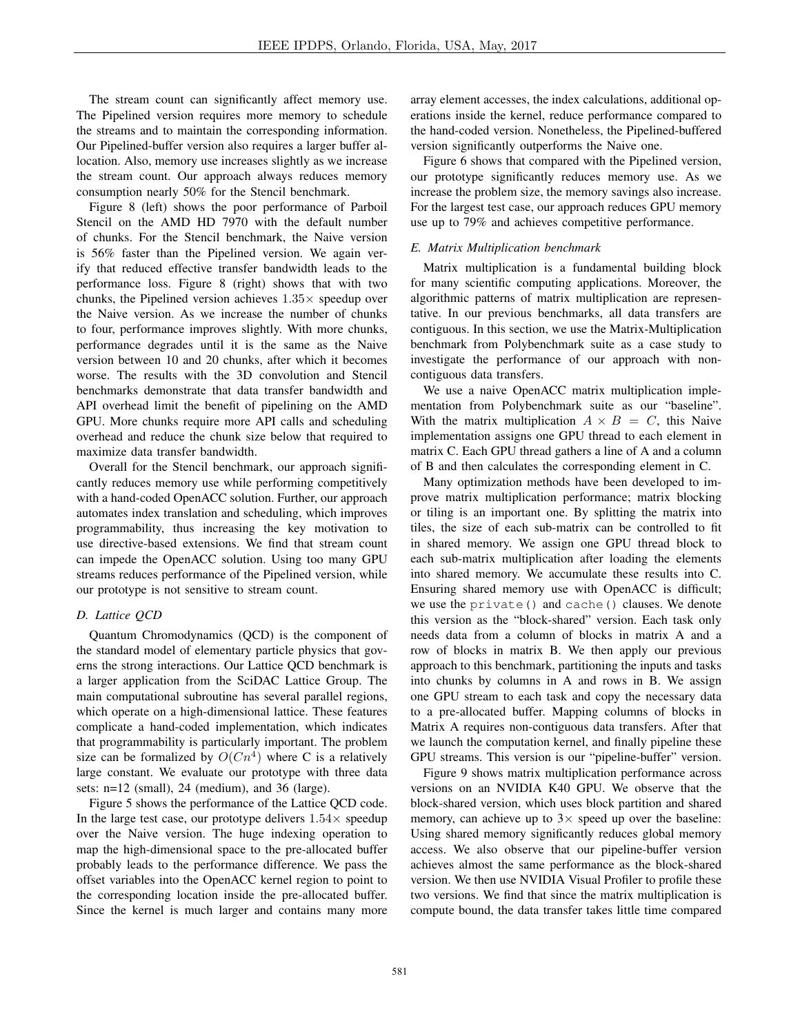The stream count can significantly affect memory use. The Pipelined version requires more memory to schedule the streams and to maintain the corresponding information. Our Pipelined-buffer version also requires a larger buffer allocation. Also, memory use increases slightly as we increase the stream count. Our approach always reduces memory consumption nearly 50% for the Stencil benchmark.

Figure 8 (left) shows the poor performance of Parboil Stencil on the AMD HD 7970 with the default number of chunks. For the Stencil benchmark, the Naive version is 56% faster than the Pipelined version. We again verify that reduced effective transfer bandwidth leads to the performance loss. Figure 8 (right) shows that with two chunks, the Pipelined version achieves  $1.35\times$  speedup over the Naive version. As we increase the number of chunks to four, performance improves slightly. With more chunks, performance degrades until it is the same as the Naive version between 10 and 20 chunks, after which it becomes worse. The results with the 3D convolution and Stencil benchmarks demonstrate that data transfer bandwidth and API overhead limit the benefit of pipelining on the AMD GPU. More chunks require more API calls and scheduling overhead and reduce the chunk size below that required to maximize data transfer bandwidth.

Overall for the Stencil benchmark, our approach significantly reduces memory use while performing competitively with a hand-coded OpenACC solution. Further, our approach automates index translation and scheduling, which improves programmability, thus increasing the key motivation to use directive-based extensions. We find that stream count can impede the OpenACC solution. Using too many GPU streams reduces performance of the Pipelined version, while our prototype is not sensitive to stream count.

### *D. Lattice QCD*

Quantum Chromodynamics (QCD) is the component of the standard model of elementary particle physics that governs the strong interactions. Our Lattice QCD benchmark is a larger application from the SciDAC Lattice Group. The main computational subroutine has several parallel regions, which operate on a high-dimensional lattice. These features complicate a hand-coded implementation, which indicates that programmability is particularly important. The problem size can be formalized by  $O(Cn^4)$  where C is a relatively large constant. We evaluate our prototype with three data sets: n=12 (small), 24 (medium), and 36 (large).

Figure 5 shows the performance of the Lattice QCD code. In the large test case, our prototype delivers  $1.54 \times$  speedup over the Naive version. The huge indexing operation to map the high-dimensional space to the pre-allocated buffer probably leads to the performance difference. We pass the offset variables into the OpenACC kernel region to point to the corresponding location inside the pre-allocated buffer. Since the kernel is much larger and contains many more array element accesses, the index calculations, additional operations inside the kernel, reduce performance compared to the hand-coded version. Nonetheless, the Pipelined-buffered version significantly outperforms the Naive one.

Figure 6 shows that compared with the Pipelined version, our prototype significantly reduces memory use. As we increase the problem size, the memory savings also increase. For the largest test case, our approach reduces GPU memory use up to 79% and achieves competitive performance.

### *E. Matrix Multiplication benchmark*

Matrix multiplication is a fundamental building block for many scientific computing applications. Moreover, the algorithmic patterns of matrix multiplication are representative. In our previous benchmarks, all data transfers are contiguous. In this section, we use the Matrix-Multiplication benchmark from Polybenchmark suite as a case study to investigate the performance of our approach with noncontiguous data transfers.

We use a naive OpenACC matrix multiplication implementation from Polybenchmark suite as our "baseline". With the matrix multiplication  $A \times B = C$ , this Naive implementation assigns one GPU thread to each element in matrix C. Each GPU thread gathers a line of A and a column of B and then calculates the corresponding element in C.

Many optimization methods have been developed to improve matrix multiplication performance; matrix blocking or tiling is an important one. By splitting the matrix into tiles, the size of each sub-matrix can be controlled to fit in shared memory. We assign one GPU thread block to each sub-matrix multiplication after loading the elements into shared memory. We accumulate these results into C. Ensuring shared memory use with OpenACC is difficult; we use the private() and cache() clauses. We denote this version as the "block-shared" version. Each task only needs data from a column of blocks in matrix A and a row of blocks in matrix B. We then apply our previous approach to this benchmark, partitioning the inputs and tasks into chunks by columns in A and rows in B. We assign one GPU stream to each task and copy the necessary data to a pre-allocated buffer. Mapping columns of blocks in Matrix A requires non-contiguous data transfers. After that we launch the computation kernel, and finally pipeline these GPU streams. This version is our "pipeline-buffer" version.

Figure 9 shows matrix multiplication performance across versions on an NVIDIA K40 GPU. We observe that the block-shared version, which uses block partition and shared memory, can achieve up to  $3 \times$  speed up over the baseline: Using shared memory significantly reduces global memory access. We also observe that our pipeline-buffer version achieves almost the same performance as the block-shared version. We then use NVIDIA Visual Profiler to profile these two versions. We find that since the matrix multiplication is compute bound, the data transfer takes little time compared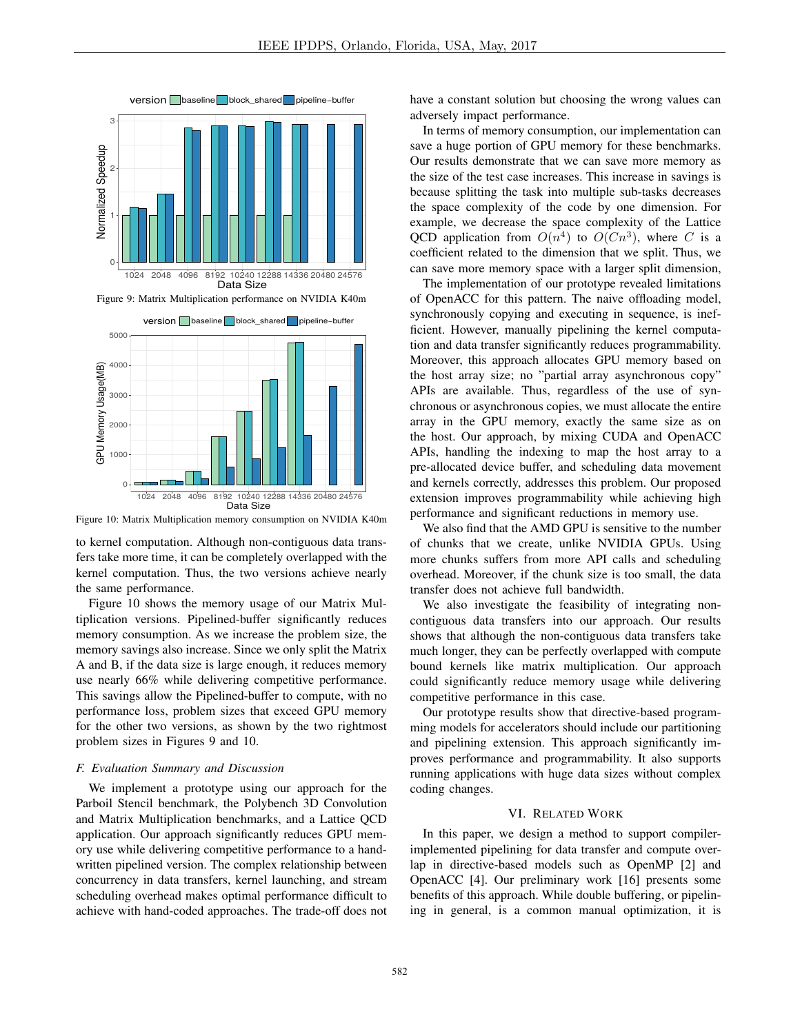

Figure 10: Matrix Multiplication memory consumption on NVIDIA K40m

to kernel computation. Although non-contiguous data transfers take more time, it can be completely overlapped with the kernel computation. Thus, the two versions achieve nearly the same performance.

Figure 10 shows the memory usage of our Matrix Multiplication versions. Pipelined-buffer significantly reduces memory consumption. As we increase the problem size, the memory savings also increase. Since we only split the Matrix A and B, if the data size is large enough, it reduces memory use nearly 66% while delivering competitive performance. This savings allow the Pipelined-buffer to compute, with no performance loss, problem sizes that exceed GPU memory for the other two versions, as shown by the two rightmost problem sizes in Figures 9 and 10.

### *F. Evaluation Summary and Discussion*

We implement a prototype using our approach for the Parboil Stencil benchmark, the Polybench 3D Convolution and Matrix Multiplication benchmarks, and a Lattice QCD application. Our approach significantly reduces GPU memory use while delivering competitive performance to a handwritten pipelined version. The complex relationship between concurrency in data transfers, kernel launching, and stream scheduling overhead makes optimal performance difficult to achieve with hand-coded approaches. The trade-off does not have a constant solution but choosing the wrong values can adversely impact performance.

In terms of memory consumption, our implementation can save a huge portion of GPU memory for these benchmarks. Our results demonstrate that we can save more memory as the size of the test case increases. This increase in savings is because splitting the task into multiple sub-tasks decreases the space complexity of the code by one dimension. For example, we decrease the space complexity of the Lattice QCD application from  $O(n^4)$  to  $O(Cn^3)$ , where C is a coefficient related to the dimension that we split. Thus, we can save more memory space with a larger split dimension,

The implementation of our prototype revealed limitations of OpenACC for this pattern. The naive offloading model, synchronously copying and executing in sequence, is inefficient. However, manually pipelining the kernel computation and data transfer significantly reduces programmability. Moreover, this approach allocates GPU memory based on the host array size; no "partial array asynchronous copy" APIs are available. Thus, regardless of the use of synchronous or asynchronous copies, we must allocate the entire array in the GPU memory, exactly the same size as on the host. Our approach, by mixing CUDA and OpenACC APIs, handling the indexing to map the host array to a pre-allocated device buffer, and scheduling data movement and kernels correctly, addresses this problem. Our proposed extension improves programmability while achieving high performance and significant reductions in memory use.

We also find that the AMD GPU is sensitive to the number of chunks that we create, unlike NVIDIA GPUs. Using more chunks suffers from more API calls and scheduling overhead. Moreover, if the chunk size is too small, the data transfer does not achieve full bandwidth.

We also investigate the feasibility of integrating noncontiguous data transfers into our approach. Our results shows that although the non-contiguous data transfers take much longer, they can be perfectly overlapped with compute bound kernels like matrix multiplication. Our approach could significantly reduce memory usage while delivering competitive performance in this case.

Our prototype results show that directive-based programming models for accelerators should include our partitioning and pipelining extension. This approach significantly improves performance and programmability. It also supports running applications with huge data sizes without complex coding changes.

### VI. RELATED WORK

In this paper, we design a method to support compilerimplemented pipelining for data transfer and compute overlap in directive-based models such as OpenMP [2] and OpenACC [4]. Our preliminary work [16] presents some benefits of this approach. While double buffering, or pipelining in general, is a common manual optimization, it is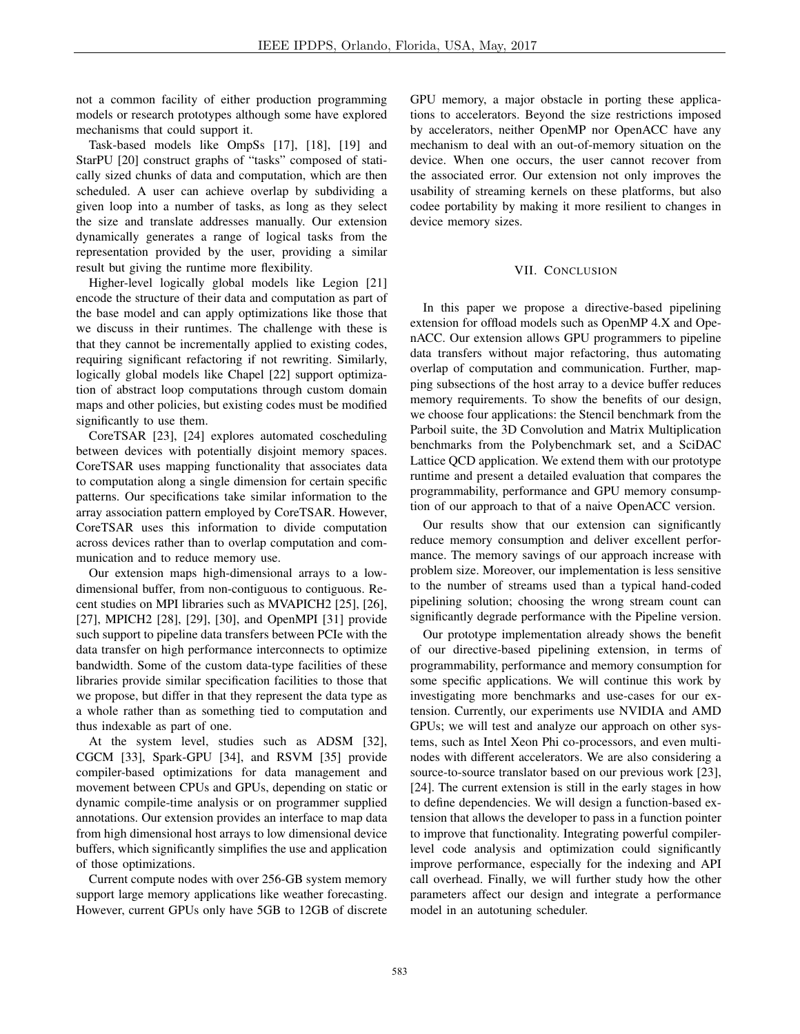not a common facility of either production programming models or research prototypes although some have explored mechanisms that could support it.

Task-based models like OmpSs [17], [18], [19] and StarPU [20] construct graphs of "tasks" composed of statically sized chunks of data and computation, which are then scheduled. A user can achieve overlap by subdividing a given loop into a number of tasks, as long as they select the size and translate addresses manually. Our extension dynamically generates a range of logical tasks from the representation provided by the user, providing a similar result but giving the runtime more flexibility.

Higher-level logically global models like Legion [21] encode the structure of their data and computation as part of the base model and can apply optimizations like those that we discuss in their runtimes. The challenge with these is that they cannot be incrementally applied to existing codes, requiring significant refactoring if not rewriting. Similarly, logically global models like Chapel [22] support optimization of abstract loop computations through custom domain maps and other policies, but existing codes must be modified significantly to use them.

CoreTSAR [23], [24] explores automated coscheduling between devices with potentially disjoint memory spaces. CoreTSAR uses mapping functionality that associates data to computation along a single dimension for certain specific patterns. Our specifications take similar information to the array association pattern employed by CoreTSAR. However, CoreTSAR uses this information to divide computation across devices rather than to overlap computation and communication and to reduce memory use.

Our extension maps high-dimensional arrays to a lowdimensional buffer, from non-contiguous to contiguous. Recent studies on MPI libraries such as MVAPICH2 [25], [26], [27], MPICH2 [28], [29], [30], and OpenMPI [31] provide such support to pipeline data transfers between PCIe with the data transfer on high performance interconnects to optimize bandwidth. Some of the custom data-type facilities of these libraries provide similar specification facilities to those that we propose, but differ in that they represent the data type as a whole rather than as something tied to computation and thus indexable as part of one.

At the system level, studies such as ADSM [32], CGCM [33], Spark-GPU [34], and RSVM [35] provide compiler-based optimizations for data management and movement between CPUs and GPUs, depending on static or dynamic compile-time analysis or on programmer supplied annotations. Our extension provides an interface to map data from high dimensional host arrays to low dimensional device buffers, which significantly simplifies the use and application of those optimizations.

Current compute nodes with over 256-GB system memory support large memory applications like weather forecasting. However, current GPUs only have 5GB to 12GB of discrete GPU memory, a major obstacle in porting these applications to accelerators. Beyond the size restrictions imposed by accelerators, neither OpenMP nor OpenACC have any mechanism to deal with an out-of-memory situation on the device. When one occurs, the user cannot recover from the associated error. Our extension not only improves the usability of streaming kernels on these platforms, but also codee portability by making it more resilient to changes in device memory sizes.

#### VII. CONCLUSION

In this paper we propose a directive-based pipelining extension for offload models such as OpenMP 4.X and OpenACC. Our extension allows GPU programmers to pipeline data transfers without major refactoring, thus automating overlap of computation and communication. Further, mapping subsections of the host array to a device buffer reduces memory requirements. To show the benefits of our design, we choose four applications: the Stencil benchmark from the Parboil suite, the 3D Convolution and Matrix Multiplication benchmarks from the Polybenchmark set, and a SciDAC Lattice QCD application. We extend them with our prototype runtime and present a detailed evaluation that compares the programmability, performance and GPU memory consumption of our approach to that of a naive OpenACC version.

Our results show that our extension can significantly reduce memory consumption and deliver excellent performance. The memory savings of our approach increase with problem size. Moreover, our implementation is less sensitive to the number of streams used than a typical hand-coded pipelining solution; choosing the wrong stream count can significantly degrade performance with the Pipeline version.

Our prototype implementation already shows the benefit of our directive-based pipelining extension, in terms of programmability, performance and memory consumption for some specific applications. We will continue this work by investigating more benchmarks and use-cases for our extension. Currently, our experiments use NVIDIA and AMD GPUs; we will test and analyze our approach on other systems, such as Intel Xeon Phi co-processors, and even multinodes with different accelerators. We are also considering a source-to-source translator based on our previous work [23], [24]. The current extension is still in the early stages in how to define dependencies. We will design a function-based extension that allows the developer to pass in a function pointer to improve that functionality. Integrating powerful compilerlevel code analysis and optimization could significantly improve performance, especially for the indexing and API call overhead. Finally, we will further study how the other parameters affect our design and integrate a performance model in an autotuning scheduler.